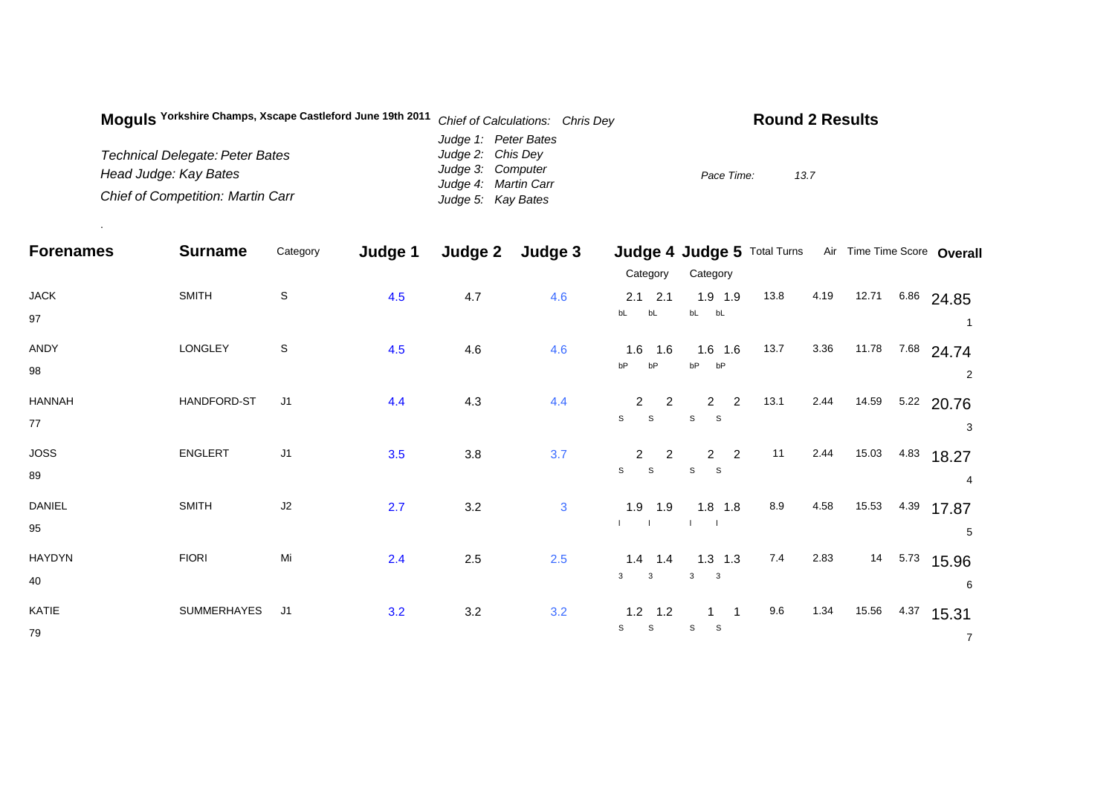| Moquis Yorkshire Champs, Xscape Castleford June 19th 2011 | Chief of Calculations: Chris Dey | <b>Round 2 Results</b> |
|-----------------------------------------------------------|----------------------------------|------------------------|
|                                                           | Judge 1: Peter Bates             |                        |
| Technical Delegate: Peter Bates                           | Judge 2: Chis Dey                |                        |
| Head Judge: Kay Bates                                     | Judge 3: Computer                | 13.7<br>Pace Time:     |
|                                                           | Judge 4: Martin Carr             |                        |
| <b>Chief of Competition: Martin Carr</b>                  | Judge 5: Kay Bates               |                        |

.

| <b>Forenames</b> | <b>Surname</b> | Category       | Judge 1 | Judge 2 | Judge 3      |                               | Judge 4 Judge 5 Total Turns             |      |      |       |      | Air Time Time Score Overall |
|------------------|----------------|----------------|---------|---------|--------------|-------------------------------|-----------------------------------------|------|------|-------|------|-----------------------------|
|                  |                |                |         |         |              | Category                      | Category                                |      |      |       |      |                             |
| <b>JACK</b>      | <b>SMITH</b>   | $\mathsf S$    | 4.5     | 4.7     | 4.6          | $2.1$ 2.1                     | $1.9$ 1.9                               | 13.8 | 4.19 | 12.71 | 6.86 | 24.85                       |
| 97               |                |                |         |         |              | bL<br>bL                      | $bL$ $bL$                               |      |      |       |      |                             |
| ANDY             | LONGLEY        | S              | 4.5     | 4.6     | 4.6          | 1.6<br>1.6                    | $1.6$ 1.6                               | 13.7 | 3.36 | 11.78 | 7.68 | 24.74                       |
| 98               |                |                |         |         |              | bP<br>bP                      | bP<br>bP                                |      |      |       |      | 2                           |
| <b>HANNAH</b>    | HANDFORD-ST    | J <sub>1</sub> | 4.4     | 4.3     | 4.4          | 2<br>$\overline{2}$           | $\overline{2}$<br>$\mathbf{2}$          | 13.1 | 2.44 | 14.59 |      | 5.22 20.76                  |
| 77               |                |                |         |         |              | $\mathbb S$<br>$\mathsf{s}$   | S<br>S                                  |      |      |       |      | 3                           |
| <b>JOSS</b>      | ENGLERT        | J1             | 3.5     | $3.8\,$ | 3.7          | $\overline{2}$<br>$2^{\circ}$ | $\overline{2}$<br>$2^{\circ}$           | 11   | 2.44 | 15.03 | 4.83 | 18.27                       |
| 89               |                |                |         |         |              | $\mathsf{s}$<br>S             | ${\tt S}$<br>$\mathbf{s}$               |      |      |       |      | 4                           |
| DANIEL           | <b>SMITH</b>   | J2             | 2.7     | 3.2     | $\mathbf{3}$ | $1.9$ 1.9                     | $1.8$ 1.8                               | 8.9  | 4.58 | 15.53 | 4.39 | 17.87                       |
| 95               |                |                |         |         |              |                               |                                         |      |      |       |      | 5                           |
| <b>HAYDYN</b>    | <b>FIORI</b>   | Mi             | 2.4     | 2.5     | 2.5          | $1.4$ 1.4                     | $1.3$ 1.3                               | 7.4  | 2.83 | 14    | 5.73 | 15.96                       |
| 40               |                |                |         |         |              | $\mathbf{3}$<br>3             | $\mathbf{3}$<br>$\overline{\mathbf{3}}$ |      |      |       |      | 6                           |
| KATIE            | SUMMERHAYES    | J <sub>1</sub> | 3.2     | 3.2     | 3.2          | $1.2$ 1.2                     |                                         | 9.6  | 1.34 | 15.56 | 4.37 | 15.31                       |
| 79               |                |                |         |         |              | $\mathbb S$<br>$\mathbb S$    | S<br>S                                  |      |      |       |      | $\overline{7}$              |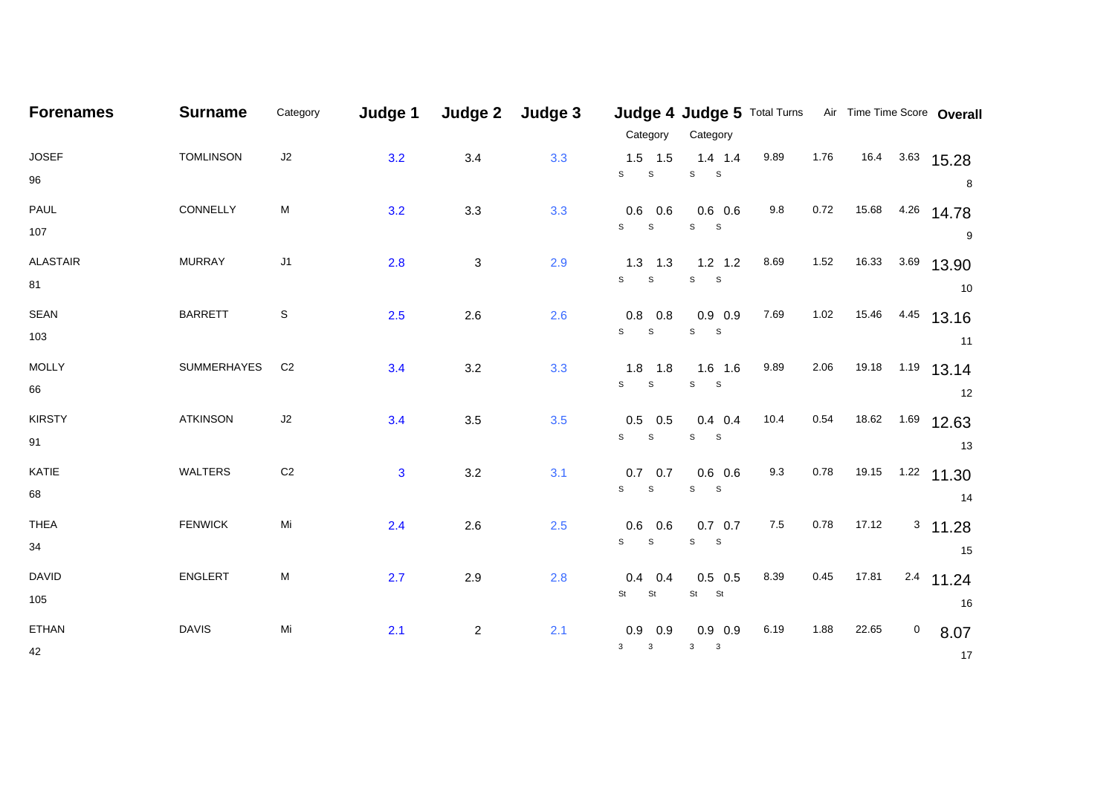| <b>Forenames</b> | <b>Surname</b>   | Category       | Judge 1      | Judge 2        | Judge 3 |                | Judge 4 Judge 5 Total Turns Air Time Time Score Overall |         |      |            |         |                  |
|------------------|------------------|----------------|--------------|----------------|---------|----------------|---------------------------------------------------------|---------|------|------------|---------|------------------|
|                  |                  |                |              |                |         | Category       | Category                                                |         |      |            |         |                  |
| <b>JOSEF</b>     | <b>TOMLINSON</b> | J2             | 3.2          | 3.4            | 3.3     | $1.5$ 1.5      | $1.4$ 1.4                                               | 9.89    | 1.76 | 16.4       |         | $3.63$ 15.28     |
| 96               |                  |                |              |                |         | S<br>${\tt S}$ | ${\tt S}$<br>$\mathbf{s}$                               |         |      |            |         | 8                |
| PAUL             | CONNELLY         | М              | 3.2          | 3.3            | 3.3     | $0.6$ 0.6      | $0.6\ 0.6$                                              | 9.8     | 0.72 | 15.68      | 4.26    | 14.78            |
| 107              |                  |                |              |                |         | S<br>${\tt S}$ | ${\tt S}$<br>$\mathbf{s}$                               |         |      |            |         | 9                |
| <b>ALASTAIR</b>  | <b>MURRAY</b>    | $\sf J1$       | 2.8          | $\mathbf{3}$   | 2.9     | $1.3$ 1.3      | $1.2$ 1.2                                               | 8.69    | 1.52 | 16.33      | 3.69    | 13.90            |
| 81               |                  |                |              |                |         | S<br>S         | ${\tt S}$<br>$\mathbf S$                                |         |      |            |         | 10               |
| <b>SEAN</b>      | <b>BARRETT</b>   | S              | 2.5          | 2.6            | 2.6     | $0.8$ 0.8      | $0.9$ 0.9                                               | 7.69    | 1.02 | 15.46      | 4.45    | 13.16            |
| 103              |                  |                |              |                |         | $S$ $S$        | $S$ $S$                                                 |         |      |            |         | 11               |
| <b>MOLLY</b>     | SUMMERHAYES      | C <sub>2</sub> | 3.4          | 3.2            | 3.3     | $1.8$ 1.8      | $1.6$ 1.6                                               | 9.89    | 2.06 | 19.18 1.19 |         | 13.14            |
| 66               |                  |                |              |                |         | $S$ $S$        | ${\tt S}$<br>$\mathbf S$                                |         |      |            |         | 12               |
| <b>KIRSTY</b>    | <b>ATKINSON</b>  | J2             | 3.4          | 3.5            | 3.5     | $0.5$ 0.5      | $0.4$ 0.4                                               | 10.4    | 0.54 | 18.62      | 1.69    | 12.63            |
| 91               |                  |                |              |                |         | $S$ $S$        | $\mathbb S$<br>$\mathbf{s}$                             |         |      |            |         | 13               |
| KATIE            | WALTERS          | C <sub>2</sub> | $\mathbf{3}$ | 3.2            | 3.1     | $0.7\quad 0.7$ | $0.6$ 0.6                                               | 9.3     | 0.78 |            |         | 19.15 1.22 11.30 |
| 68               |                  |                |              |                |         | $S$ $S$        | $S$ $S$                                                 |         |      |            |         | 14               |
| <b>THEA</b>      | <b>FENWICK</b>   | Mi             | 2.4          | 2.6            | 2.5     | $0.6$ 0.6      | $0.7\quad 0.7$                                          | $7.5\,$ | 0.78 | 17.12      |         | $3$ 11.28        |
| 34               |                  |                |              |                |         | S<br>S         | $\mathbb S$<br>$\mathbf{s}$                             |         |      |            |         | 15               |
| <b>DAVID</b>     | ENGLERT          | М              | 2.7          | 2.9            | 2.8     | 0.4<br>0.4     | $0.5$ 0.5                                               | 8.39    | 0.45 | 17.81      | $2.4\,$ | 11.24            |
| 105              |                  |                |              |                |         | St<br>St       | St St                                                   |         |      |            |         | 16               |
| ETHAN            | <b>DAVIS</b>     | Mi             | 2.1          | $\overline{2}$ | 2.1     | 0.9<br>0.9     | $0.9$ 0.9                                               | 6.19    | 1.88 | 22.65      | 0       | 8.07             |
| 42               |                  |                |              |                |         | $3 \qquad 3$   | $\mathbf{3}$<br>$\overline{\phantom{a}}$                |         |      |            |         | 17               |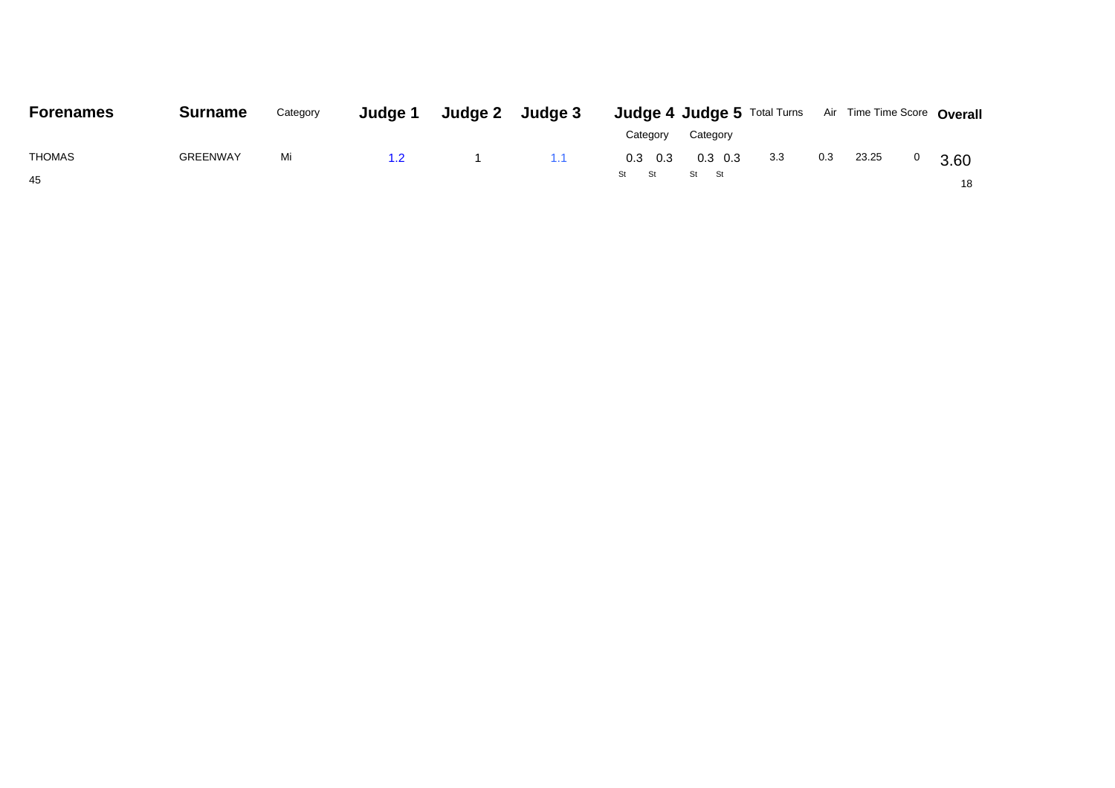| <b>Forenames</b> | <b>Surname</b>  | Category | Judge 1       | Judge 2 Judge 3 |                 |            |     |     | <b>Judge 4 Judge 5</b> Total Turns Air Time Time Score Overall |      |
|------------------|-----------------|----------|---------------|-----------------|-----------------|------------|-----|-----|----------------------------------------------------------------|------|
|                  |                 |          |               |                 | Category        | Category   |     |     |                                                                |      |
| <b>THOMAS</b>    | <b>GREENWAY</b> | Mi       | $1.2^{\circ}$ | 1.1             | $0.3 \quad 0.3$ | $0.3\;0.3$ | 3.3 | 0.3 | 23.25                                                          | 3.60 |
| 45               |                 |          |               |                 | St St           | St St      |     |     |                                                                | 18   |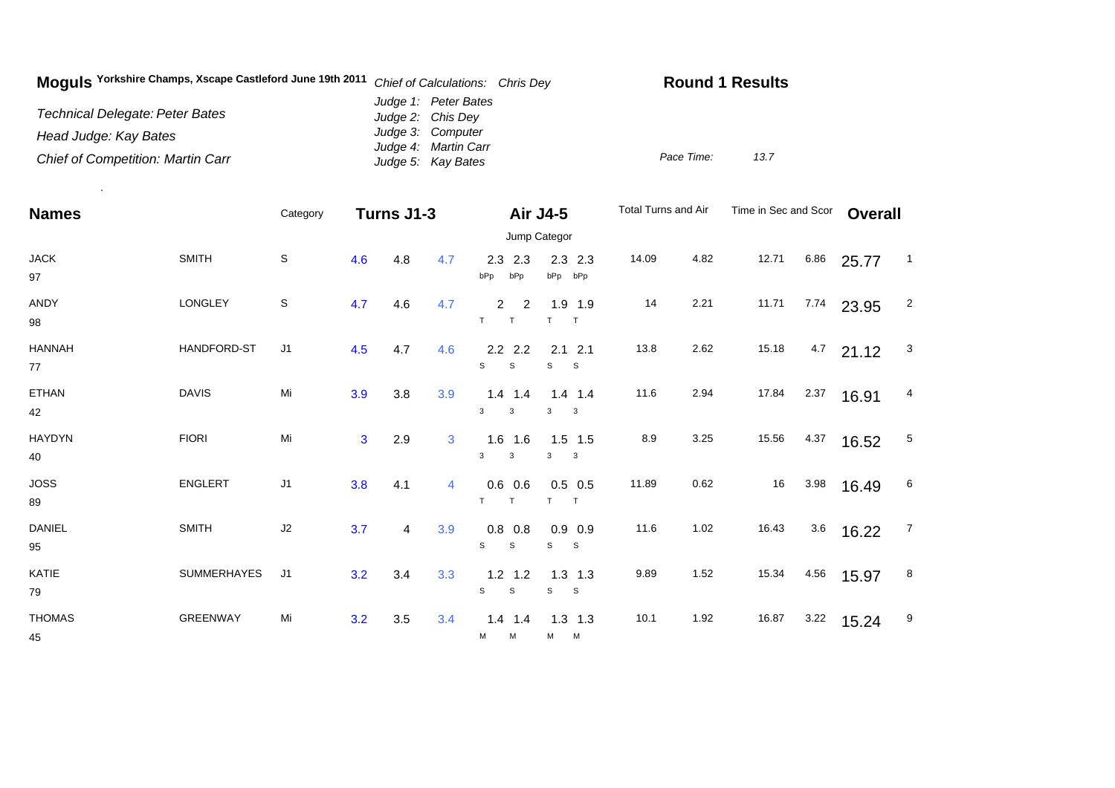| Moguls Yorkshire Champs, Xscape Castleford June 19th 2011 | Chief of Calculations: Chris Dey           | <b>Round 1 Results</b> |
|-----------------------------------------------------------|--------------------------------------------|------------------------|
| Technical Delegate: Peter Bates                           | Judge 1: Peter Bates<br>Judge 2: Chis Dey  |                        |
| Head Judge: Kay Bates                                     | Judge 3: Computer                          |                        |
| <b>Chief of Competition: Martin Carr</b>                  | Judge 4: Martin Carr<br>Judge 5: Kay Bates | Pace Time:<br>13.7     |

.

| <b>Names</b>                       |                 | Category       | Turns J1-3     |     |                | <b>Air J4-5</b>               |                                | Total Turns and Air |      | Time in Sec and Scor |      | <b>Overall</b> |                |
|------------------------------------|-----------------|----------------|----------------|-----|----------------|-------------------------------|--------------------------------|---------------------|------|----------------------|------|----------------|----------------|
|                                    |                 |                |                |     |                |                               | Jump Categor                   |                     |      |                      |      |                |                |
| $\ensuremath{\mathsf{JACK}}$<br>97 | <b>SMITH</b>    | $\mathsf S$    | 4.6            | 4.8 | 4.7            | 2.3<br>2.3<br>bPp<br>bPp      | $2.3$ 2.3<br>bPp bPp           | 14.09               | 4.82 | 12.71                | 6.86 | 25.77          | $\blacksquare$ |
| <b>ANDY</b><br>98                  | <b>LONGLEY</b>  | $\mathbb S$    | 4.7            | 4.6 | 4.7            | $\overline{2}$<br>2<br>T<br>T | 1.9 1.9<br>T<br>T              | 14                  | 2.21 | 11.71                | 7.74 | 23.95          | $\overline{2}$ |
| <b>HANNAH</b><br>$77\,$            | HANDFORD-ST     | J <sub>1</sub> | 4.5            | 4.7 | 4.6            | $2.2$ 2.2<br>S<br>S           | $2.1$ 2.1<br>S<br><sub>S</sub> | 13.8                | 2.62 | 15.18                | 4.7  | 21.12          | 3              |
| <b>ETHAN</b><br>42                 | <b>DAVIS</b>    | Mi             | 3.9            | 3.8 | 3.9            | $1.4$ 1.4<br>3<br>3           | $1.4$ 1.4<br>3<br>$\mathbf{3}$ | 11.6                | 2.94 | 17.84                | 2.37 | 16.91          | 4              |
| <b>HAYDYN</b><br>40                | <b>FIORI</b>    | Mi             | $\overline{3}$ | 2.9 | 3              | $1.6$ 1.6<br>3<br>3           | $1.5$ 1.5<br>3<br>$\mathbf{3}$ | 8.9                 | 3.25 | 15.56                | 4.37 | 16.52          | $\sqrt{5}$     |
| <b>JOSS</b><br>89                  | ENGLERT         | J1             | 3.8            | 4.1 | $\overline{4}$ | $0.6$ 0.6<br>T.<br>T          | $0.5$ 0.5<br>T<br>T            | 11.89               | 0.62 | 16                   | 3.98 | 16.49          | 6              |
| DANIEL<br>95                       | <b>SMITH</b>    | J2             | 3.7            | 4   | 3.9            | $0.8\ 0.8$<br>s<br>S          | $0.9$ 0.9<br>s<br>$\mathbf{s}$ | 11.6                | 1.02 | 16.43                | 3.6  | 16.22          | $\overline{7}$ |
| KATIE<br>79                        | SUMMERHAYES     | J <sub>1</sub> | 3.2            | 3.4 | 3.3            | $1.2$ 1.2<br>$\mathsf S$<br>S | $1.3$ 1.3<br>S<br>S            | 9.89                | 1.52 | 15.34                | 4.56 | 15.97          | 8              |
| <b>THOMAS</b><br>45                | <b>GREENWAY</b> | Mi             | 3.2            | 3.5 | 3.4            | $1.4$ 1.4<br>м<br>M           | $1.3$ 1.3<br>M M               | 10.1                | 1.92 | 16.87                | 3.22 | 15.24          | 9              |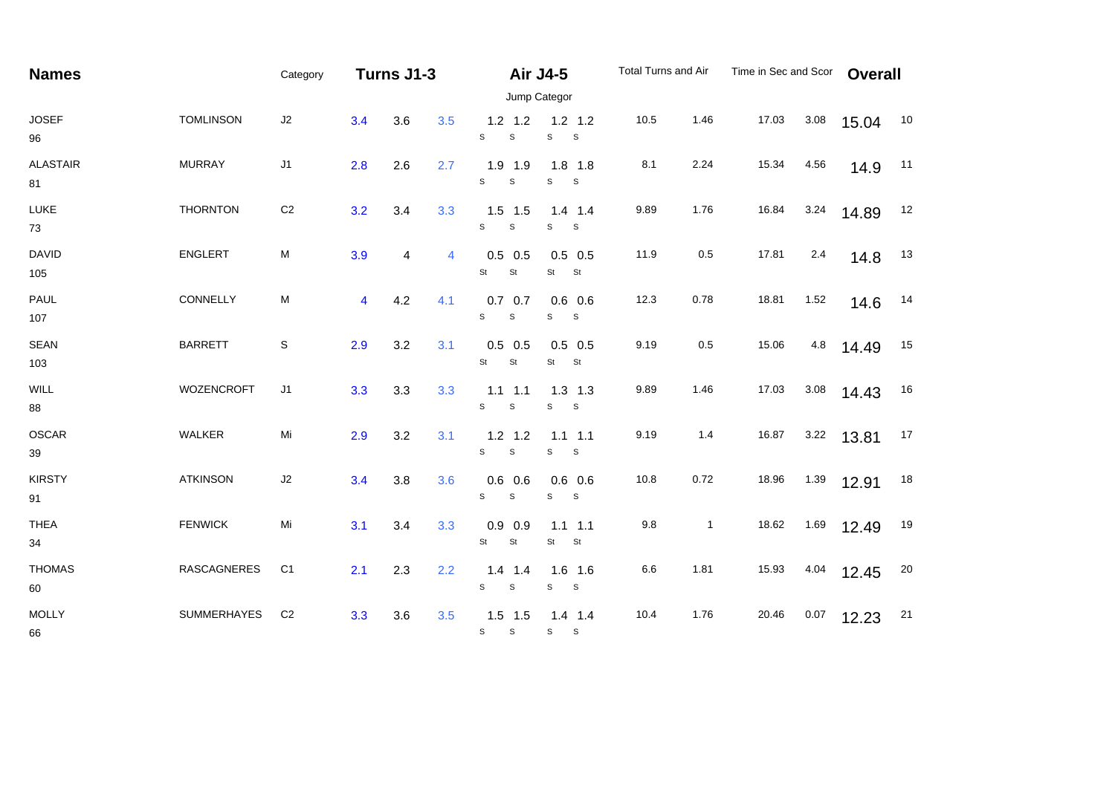| <b>Names</b>          |                    | Category       |     | Turns J1-3 |                |                                          | <b>Air J4-5</b>                |      | Total Turns and Air | Time in Sec and Scor |         | <b>Overall</b> |    |
|-----------------------|--------------------|----------------|-----|------------|----------------|------------------------------------------|--------------------------------|------|---------------------|----------------------|---------|----------------|----|
|                       |                    |                |     |            |                |                                          | Jump Categor                   |      |                     |                      |         |                |    |
| <b>JOSEF</b><br>96    | <b>TOMLINSON</b>   | J2             | 3.4 | 3.6        | 3.5            | $1.2$ 1.2<br>$\mathsf S$<br>S            | $1.2$ 1.2<br>S<br>$\mathbb S$  | 10.5 | 1.46                | 17.03                | 3.08    | 15.04          | 10 |
| <b>ALASTAIR</b><br>81 | <b>MURRAY</b>      | J1             | 2.8 | 2.6        | 2.7            | $1.9$ 1.9<br>$\mathbf S$<br>$\mathbf S$  | $1.8$ 1.8<br>s<br>S            | 8.1  | 2.24                | 15.34                | 4.56    | 14.9           | 11 |
| LUKE<br>73            | <b>THORNTON</b>    | C <sub>2</sub> | 3.2 | 3.4        | 3.3            | $1.5$ 1.5<br>$\mathsf{s}$<br>$\mathsf S$ | $1.4$ 1.4<br>$\mathsf S$<br>S  | 9.89 | 1.76                | 16.84                | 3.24    | 14.89          | 12 |
| <b>DAVID</b><br>105   | <b>ENGLERT</b>     | ${\sf M}$      | 3.9 | 4          | $\overline{4}$ | $0.5$ 0.5<br>St<br>$\mathsf{St}$         | $0.5$ 0.5<br>St<br>St          | 11.9 | 0.5                 | 17.81                | 2.4     | 14.8           | 13 |
| PAUL<br>107           | CONNELLY           | M              | 4   | 4.2        | 4.1            | $0.7$ 0.7<br>S<br>$\mathsf S$            | $0.6$ 0.6<br>S<br>S            | 12.3 | 0.78                | 18.81                | 1.52    | 14.6           | 14 |
| <b>SEAN</b><br>103    | <b>BARRETT</b>     | $\mathsf S$    | 2.9 | 3.2        | 3.1            | $0.5$ 0.5<br>St<br>St                    | $0.5$ 0.5<br>St<br>St          | 9.19 | $0.5\,$             | 15.06                | $4.8\,$ | 14.49          | 15 |
| <b>WILL</b><br>88     | <b>WOZENCROFT</b>  | J <sub>1</sub> | 3.3 | 3.3        | 3.3            | $1.1$ 1.1<br>S<br>$\mathbb S$            | $1.3$ 1.3<br>S<br>$\mathbb S$  | 9.89 | 1.46                | 17.03                | 3.08    | 14.43          | 16 |
| OSCAR<br>39           | WALKER             | Mi             | 2.9 | 3.2        | 3.1            | $1.2$ 1.2<br>$\mathbf S$<br>S            | $1.1$ 1.1<br>S<br>S            | 9.19 | 1.4                 | 16.87                | 3.22    | 13.81          | 17 |
| <b>KIRSTY</b><br>91   | <b>ATKINSON</b>    | J2             | 3.4 | 3.8        | 3.6            | $0.6$ 0.6<br>$\mathbf S$<br>s            | $0.6\ 0.6$<br>S<br>S           | 10.8 | 0.72                | 18.96                | 1.39    | 12.91          | 18 |
| <b>THEA</b><br>34     | <b>FENWICK</b>     | Mi             | 3.1 | 3.4        | 3.3            | $0.9$ 0.9<br>St<br>St                    | $1.1$ 1.1<br><b>St</b><br>St   | 9.8  | $\mathbf{1}$        | 18.62                | 1.69    | 12.49          | 19 |
| <b>THOMAS</b><br>60   | <b>RASCAGNERES</b> | C <sub>1</sub> | 2.1 | 2.3        | 2.2            | $1.4$ 1.4<br>$\mathbb S$<br>$\mathsf S$  | $1.6$ 1.6<br>$\mathbb S$<br>S  | 6.6  | 1.81                | 15.93                | 4.04    | 12.45          | 20 |
| <b>MOLLY</b><br>66    | SUMMERHAYES        | C <sub>2</sub> | 3.3 | 3.6        | 3.5            | $1.5$ 1.5<br>$\mathbb S$<br>S            | $1.4$ 1.4<br>S<br>$\mathbf{s}$ | 10.4 | 1.76                | 20.46                | 0.07    | 12.23          | 21 |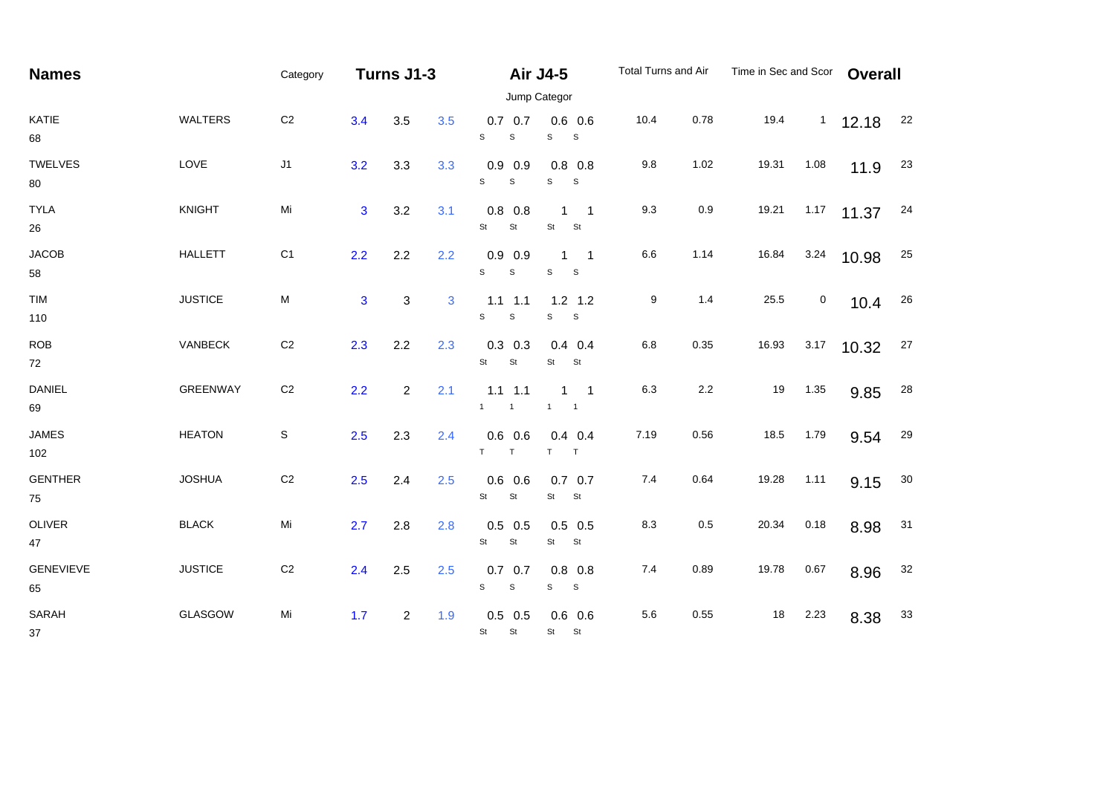| <b>Names</b>           |                | Category       |                | Turns J1-3     |     |                                          | <b>Air J4-5</b>                                   | Total Turns and Air |      | Time in Sec and Scor |           | <b>Overall</b> |        |
|------------------------|----------------|----------------|----------------|----------------|-----|------------------------------------------|---------------------------------------------------|---------------------|------|----------------------|-----------|----------------|--------|
|                        |                |                |                |                |     |                                          | Jump Categor                                      |                     |      |                      |           |                |        |
| KATIE<br>68            | <b>WALTERS</b> | $\mbox{C2}$    | 3.4            | 3.5            | 3.5 | $0.7\ 0.7$<br>S<br>$\mathbf S$           | $0.6$ 0.6<br>$\mathsf{s}$<br>$\mathsf S$          | 10.4                | 0.78 | 19.4                 | 1         | 12.18          | 22     |
| TWELVES<br>80          | LOVE           | J1             | 3.2            | 3.3            | 3.3 | $0.9$ 0.9<br>S<br>$\mathbf S$            | $0.8$ 0.8<br>S<br>S                               | 9.8                 | 1.02 | 19.31                | 1.08      | 11.9           | 23     |
| <b>TYLA</b><br>26      | <b>KNIGHT</b>  | Mi             | 3              | 3.2            | 3.1 | $0.8$ 0.8<br>St<br>St                    | $\overline{\phantom{1}}$<br>1<br>St<br>St         | 9.3                 | 0.9  | 19.21                | 1.17      | 11.37          | 24     |
| <b>JACOB</b><br>58     | <b>HALLETT</b> | C <sub>1</sub> | 2.2            | 2.2            | 2.2 | $0.9$ 0.9<br>S<br>$\mathbf S$            | $\overline{\phantom{1}}$<br>1<br>$\mathbb S$<br>S | 6.6                 | 1.14 | 16.84                | 3.24      | 10.98          | 25     |
| TIM<br>110             | <b>JUSTICE</b> | ${\sf M}$      | $\overline{3}$ | 3              | 3   | $1.1$ 1.1<br>S<br>$\mathbf S$            | $1.2$ 1.2<br>S<br>$\mathbf{s}$                    | 9                   | 1.4  | 25.5                 | $\pmb{0}$ | 10.4           | 26     |
| <b>ROB</b><br>72       | VANBECK        | $\mbox{C2}$    | 2.3            | 2.2            | 2.3 | $0.3$ 0.3<br>St<br>St                    | $0.4$ 0.4<br>St<br>St                             | 6.8                 | 0.35 | 16.93                | 3.17      | 10.32          | 27     |
| <b>DANIEL</b><br>69    | GREENWAY       | C <sub>2</sub> | 2.2            | $\overline{2}$ | 2.1 | $1.1$ 1.1<br>1<br>$\mathbf{1}$           | $1 \quad 1$<br>$\mathbf{1}$<br>$\overline{1}$     | 6.3                 | 2.2  | 19                   | 1.35      | 9.85           | 28     |
| <b>JAMES</b><br>102    | <b>HEATON</b>  | S              | 2.5            | 2.3            | 2.4 | $0.6$ 0.6<br>$T$ $T$                     | $0.4$ 0.4<br>$T$ T                                | 7.19                | 0.56 | 18.5                 | 1.79      | 9.54           | 29     |
| <b>GENTHER</b><br>75   | <b>JOSHUA</b>  | C <sub>2</sub> | 2.5            | 2.4            | 2.5 | $0.6$ 0.6<br>St<br>St                    | $0.7$ 0.7<br>St<br>St                             | 7.4                 | 0.64 | 19.28                | 1.11      | 9.15           | 30     |
| OLIVER<br>47           | <b>BLACK</b>   | Mi             | 2.7            | 2.8            | 2.8 | $0.5$ 0.5<br>St<br>St                    | $0.5$ 0.5<br>St<br>St                             | 8.3                 | 0.5  | 20.34                | 0.18      | 8.98           | 31     |
| <b>GENEVIEVE</b><br>65 | <b>JUSTICE</b> | C <sub>2</sub> | 2.4            | 2.5            | 2.5 | $0.7$ 0.7<br>$\mathsf{s}$<br>$\mathbb S$ | $0.8$ 0.8<br>S<br>S                               | 7.4                 | 0.89 | 19.78                | 0.67      | 8.96           | 32     |
| SARAH<br>37            | GLASGOW        | Mi             | 1.7            | $\overline{2}$ | 1.9 | $0.5$ 0.5<br>St<br>St                    | $0.6$ 0.6<br>St St                                | 5.6                 | 0.55 | 18                   | 2.23      | 8.38           | $33\,$ |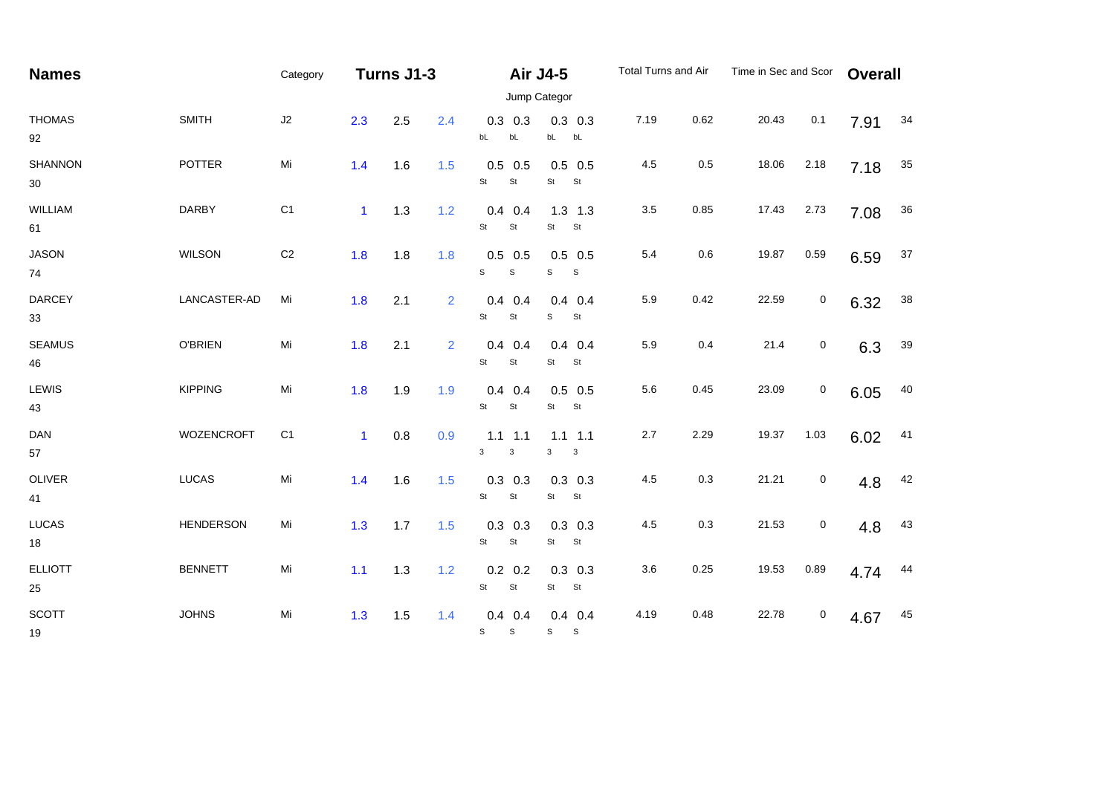| <b>Names</b>         |                   | Category       | Turns J1-3   |     |     |                                          | <b>Air J4-5</b>                  | Total Turns and Air |      | Time in Sec and Scor |                  | <b>Overall</b> |        |
|----------------------|-------------------|----------------|--------------|-----|-----|------------------------------------------|----------------------------------|---------------------|------|----------------------|------------------|----------------|--------|
|                      |                   |                |              |     |     |                                          | Jump Categor                     |                     |      |                      |                  |                |        |
| <b>THOMAS</b><br>92  | <b>SMITH</b>      | J2             | 2.3          | 2.5 | 2.4 | $0.3$ 0.3<br>bL<br>bL                    | $0.3$ 0.3<br>bL bL               | 7.19                | 0.62 | 20.43                | 0.1              | 7.91           | 34     |
| SHANNON<br>30        | <b>POTTER</b>     | Mi             | 1.4          | 1.6 | 1.5 | $0.5$ 0.5<br>St<br>St                    | $0.5$ 0.5<br>St<br>St            | 4.5                 | 0.5  | 18.06                | 2.18             | 7.18           | $35\,$ |
| WILLIAM<br>61        | <b>DARBY</b>      | C <sub>1</sub> | $\mathbf{1}$ | 1.3 | 1.2 | $0.4$ 0.4<br>St<br>St                    | $1.3$ $1.3$<br>St<br>St          | $3.5\,$             | 0.85 | 17.43                | 2.73             | 7.08           | $36\,$ |
| <b>JASON</b><br>74   | <b>WILSON</b>     | $\mbox{C2}$    | 1.8          | 1.8 | 1.8 | $0.5$ 0.5<br>S<br>$\mathsf{s}$           | $0.5$ 0.5<br>$\mathsf S$<br>S    | 5.4                 | 0.6  | 19.87                | 0.59             | 6.59           | $37\,$ |
| <b>DARCEY</b><br>33  | LANCASTER-AD      | Mi             | 1.8          | 2.1 | 2   | $0.4 \quad 0.4$<br>St<br>St              | $0.4$ 0.4<br>St<br>s             | 5.9                 | 0.42 | 22.59                | $\boldsymbol{0}$ | 6.32           | $38\,$ |
| <b>SEAMUS</b><br>46  | <b>O'BRIEN</b>    | Mi             | 1.8          | 2.1 | 2   | $0.4$ 0.4<br>St<br>St                    | $0.4$ 0.4<br>St<br>St            | 5.9                 | 0.4  | 21.4                 | $\boldsymbol{0}$ | 6.3            | 39     |
| LEWIS<br>43          | <b>KIPPING</b>    | Mi             | 1.8          | 1.9 | 1.9 | $0.4$ 0.4<br>St<br>St                    | $0.5$ 0.5<br>St<br>St            | 5.6                 | 0.45 | 23.09                | 0                | 6.05           | 40     |
| <b>DAN</b><br>57     | <b>WOZENCROFT</b> | C <sub>1</sub> | $\mathbf{1}$ | 0.8 | 0.9 | $1.1$ 1.1<br>$\mathbf{3}$<br>$\mathbf 3$ | $1.1$ $1.1$<br>3<br>$\mathbf{3}$ | 2.7                 | 2.29 | 19.37                | 1.03             | 6.02           | 41     |
| <b>OLIVER</b><br>41  | <b>LUCAS</b>      | Mi             | 1.4          | 1.6 | 1.5 | $0.3$ 0.3<br>St<br>$\mathsf{St}$         | $0.3$ 0.3<br>St<br>St            | 4.5                 | 0.3  | 21.21                | 0                | 4.8            | 42     |
| <b>LUCAS</b><br>18   | <b>HENDERSON</b>  | Mi             | 1.3          | 1.7 | 1.5 | $0.3$ 0.3<br>St<br>St                    | $0.3$ 0.3<br>St<br>St            | 4.5                 | 0.3  | 21.53                | 0                | 4.8            | 43     |
| <b>ELLIOTT</b><br>25 | <b>BENNETT</b>    | Mi             | 1.1          | 1.3 | 1.2 | $0.2\ 0.2$<br>St<br>St                   | $0.3$ 0.3<br>St<br>St            | 3.6                 | 0.25 | 19.53                | 0.89             | 4.74           | 44     |
| <b>SCOTT</b><br>19   | <b>JOHNS</b>      | Mi             | 1.3          | 1.5 | 1.4 | $0.4$ 0.4<br>$\mathbb S$<br>$\mathbb S$  | $0.4$ 0.4<br>$S$ $S$             | 4.19                | 0.48 | 22.78                | $\pmb{0}$        | 4.67           | 45     |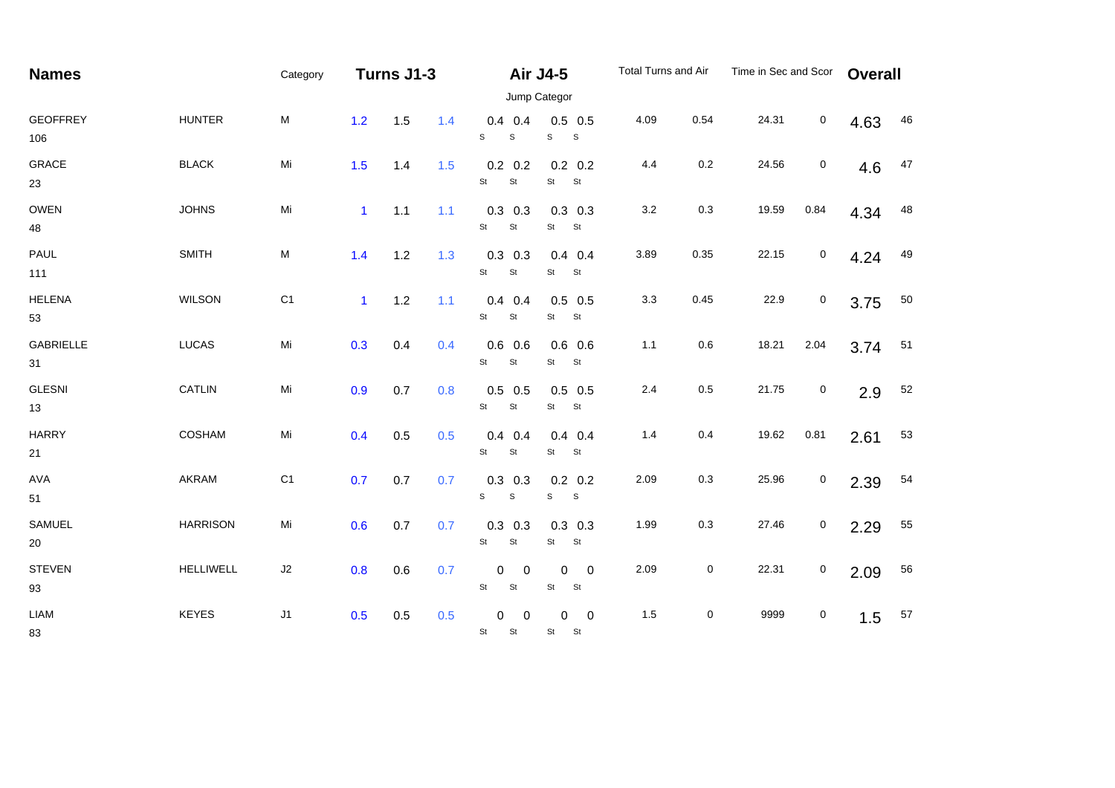| <b>Names</b>           |                 | Category                                                                                                   | Turns J1-3   |       |     |                                               | <b>Air J4-5</b><br>Jump Categor                    | Total Turns and Air |           | Time in Sec and Scor |                  | <b>Overall</b> |    |
|------------------------|-----------------|------------------------------------------------------------------------------------------------------------|--------------|-------|-----|-----------------------------------------------|----------------------------------------------------|---------------------|-----------|----------------------|------------------|----------------|----|
| <b>GEOFFREY</b><br>106 | <b>HUNTER</b>   | ${\sf M}$                                                                                                  | 1.2          | 1.5   | 1.4 | $0.4$ 0.4<br>S<br>$\mathsf S$                 | $0.5$ 0.5<br>S<br>$\mathbf{s}$                     | 4.09                | 0.54      | 24.31                | $\mathbf 0$      | 4.63           | 46 |
| <b>GRACE</b><br>23     | <b>BLACK</b>    | Mi                                                                                                         | 1.5          | 1.4   | 1.5 | $0.2 \quad 0.2$<br>$\mathsf{St}$<br>St        | $0.2 \quad 0.2$<br>St St                           | 4.4                 | 0.2       | 24.56                | $\boldsymbol{0}$ | 4.6            | 47 |
| OWEN<br>48             | <b>JOHNS</b>    | Mi                                                                                                         | $\mathbf{1}$ | $1.1$ | 1.1 | $0.3$ 0.3<br>St<br>$\mathsf{St}$              | $0.3$ 0.3<br>St<br>St                              | $3.2\,$             | 0.3       | 19.59                | 0.84             | 4.34           | 48 |
| PAUL<br>111            | <b>SMITH</b>    | $\mathsf{M}% _{T}=\mathsf{M}_{T}\!\left( a,b\right) ,\ \mathsf{M}_{T}=\mathsf{M}_{T}\!\left( a,b\right) ,$ | 1.4          | 1.2   | 1.3 | $0.3$ 0.3<br>St<br>$\mathsf{St}$              | $0.4$ 0.4<br>St<br><b>St</b>                       | 3.89                | 0.35      | 22.15                | $\boldsymbol{0}$ | 4.24           | 49 |
| <b>HELENA</b><br>53    | <b>WILSON</b>   | C <sub>1</sub>                                                                                             | $\mathbf{1}$ | $1.2$ | 1.1 | $0.4$ 0.4<br>St<br>$\mathsf{St}$              | $0.5$ 0.5<br>St<br>St                              | 3.3                 | 0.45      | 22.9                 | $\boldsymbol{0}$ | 3.75           | 50 |
| <b>GABRIELLE</b><br>31 | <b>LUCAS</b>    | Mi                                                                                                         | 0.3          | 0.4   | 0.4 | $0.6$ 0.6<br>St<br>St                         | $0.6$ 0.6<br>St<br>St                              | 1.1                 | 0.6       | 18.21                | 2.04             | 3.74           | 51 |
| <b>GLESNI</b><br>13    | CATLIN          | Mi                                                                                                         | 0.9          | 0.7   | 0.8 | $0.5$ 0.5<br>$\mathsf{St}$<br>St              | $0.5$ 0.5<br>St<br><b>St</b>                       | 2.4                 | 0.5       | 21.75                | 0                | 2.9            | 52 |
| <b>HARRY</b><br>21     | COSHAM          | Mi                                                                                                         | 0.4          | 0.5   | 0.5 | $0.4$ 0.4<br>St<br><b>St</b>                  | $0.4$ 0.4<br>St<br>St                              | 1.4                 | 0.4       | 19.62                | 0.81             | 2.61           | 53 |
| <b>AVA</b><br>51       | AKRAM           | C <sub>1</sub>                                                                                             | 0.7          | 0.7   | 0.7 | $0.3$ 0.3<br>$\mathbf S$<br>s                 | $0.2 \quad 0.2$<br>s<br>S                          | 2.09                | 0.3       | 25.96                | 0                | 2.39           | 54 |
| SAMUEL<br>$20\,$       | <b>HARRISON</b> | Mi                                                                                                         | 0.6          | 0.7   | 0.7 | $0.3$ 0.3<br>St<br>$\mathsf{St}$              | $0.3$ 0.3<br>St<br>St                              | 1.99                | $0.3\,$   | 27.46                | 0                | 2.29           | 55 |
| <b>STEVEN</b><br>93    | HELLIWELL       | $\sf J2$                                                                                                   | 0.8          | 0.6   | 0.7 | 0<br>0<br>St<br>St                            | $\mathbf 0$<br>$\overline{\mathbf{0}}$<br>St<br>St | 2.09                | $\pmb{0}$ | 22.31                | $\pmb{0}$        | 2.09           | 56 |
| LIAM<br>83             | <b>KEYES</b>    | J1                                                                                                         | 0.5          | 0.5   | 0.5 | $\mathbf 0$<br>$\mathbf 0$<br>St<br><b>St</b> | 0<br>$\mathbf 0$<br>St<br>St                       | 1.5                 | $\pmb{0}$ | 9999                 | $\pmb{0}$        | 1.5            | 57 |